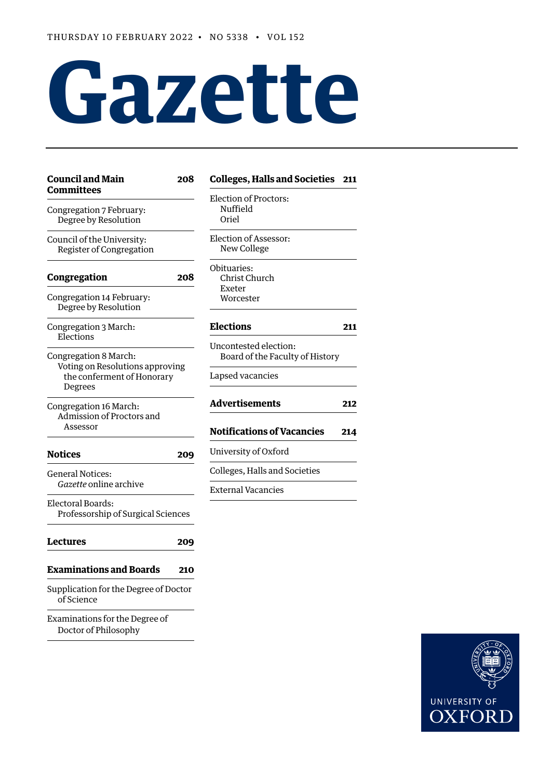# **Gazette**

| <b>Council and Main</b><br><b>Committees</b>                                                      | 208 | <b>Colleges, Halls and Societies</b>                                         | 211        |  |
|---------------------------------------------------------------------------------------------------|-----|------------------------------------------------------------------------------|------------|--|
| Congregation 7 February:<br>Degree by Resolution                                                  |     | <b>Election of Proctors:</b><br>Nuffield<br>Oriel                            |            |  |
| Council of the University:<br>Register of Congregation                                            |     | Election of Assessor:<br>New College                                         |            |  |
| Congregation                                                                                      | 208 | Obituaries:<br>Christ Church<br>Exeter                                       |            |  |
| Congregation 14 February:<br>Degree by Resolution                                                 |     | Worcester                                                                    |            |  |
| Congregation 3 March:<br>Elections                                                                |     | <b>Elections</b>                                                             |            |  |
| Congregation 8 March:<br>Voting on Resolutions approving<br>the conferment of Honorary<br>Degrees |     | Uncontested election:<br>Board of the Faculty of History<br>Lapsed vacancies |            |  |
| Congregation 16 March:<br>Admission of Proctors and<br>Assessor                                   |     | <b>Advertisements</b><br><b>Notifications of Vacancies</b>                   | 212<br>214 |  |
| <b>Notices</b>                                                                                    | 209 | University of Oxford                                                         |            |  |
| <b>General Notices:</b>                                                                           |     | Colleges, Halls and Societies                                                |            |  |
| <i>Gazette</i> online archive<br>Electoral Boards:<br>Professorship of Surgical Sciences          |     | <b>External Vacancies</b>                                                    |            |  |
| <b>Lectures</b>                                                                                   | 209 |                                                                              |            |  |
| <b>Examinations and Boards</b>                                                                    | 210 |                                                                              |            |  |
| Supplication for the Degree of Doctor<br>of Science                                               |     |                                                                              |            |  |
| Examinations for the Degree of<br>Doctor of Philosophy                                            |     |                                                                              |            |  |

## UNIVERSITY OF **OXFORD**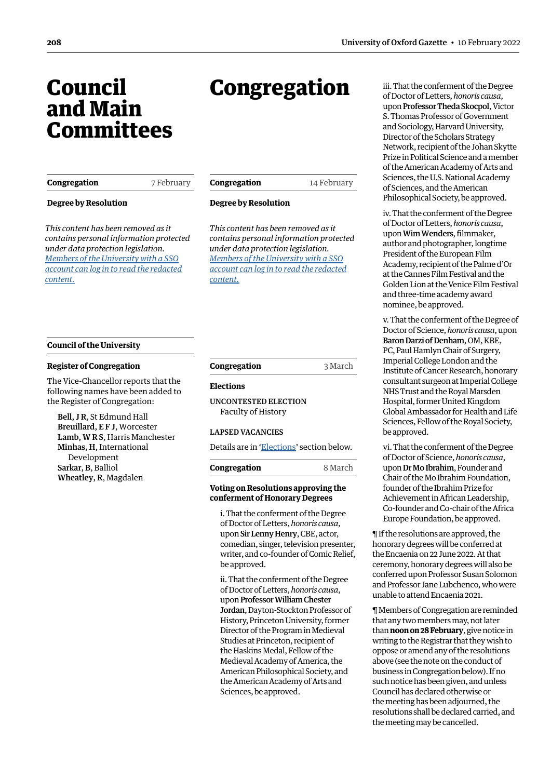## <span id="page-1-0"></span>Council and Main **Committees**

| Congregation                                                                                                                                                                                                                                       | 7 February | Congregation                                                                                                                                                                                                                                       | 14 February | Sciences, the U.S. Nation<br>of Sciences, and the Am                                                                                                                                                                                                                                                 |  |
|----------------------------------------------------------------------------------------------------------------------------------------------------------------------------------------------------------------------------------------------------|------------|----------------------------------------------------------------------------------------------------------------------------------------------------------------------------------------------------------------------------------------------------|-------------|------------------------------------------------------------------------------------------------------------------------------------------------------------------------------------------------------------------------------------------------------------------------------------------------------|--|
| <b>Degree by Resolution</b><br>This content has been removed as it<br>contains personal information protected<br>under data protection legislation.<br>Members of the University with a SSO<br>account can log in to read the redacted<br>content. |            | <b>Degree by Resolution</b><br>This content has been removed as it<br>contains personal information protected<br>under data protection legislation.<br>Members of the University with a SSO<br>account can log in to read the redacted<br>content. |             | Philosophical Society, b<br>iv. That the conferment<br>of Doctor of Letters, hor<br>upon Wim Wenders, fili<br>author and photograph<br>President of the Europe<br>Academy, recipient of the<br>at the Cannes Film Festi<br>Golden Lion at the Veni<br>and three-time academ<br>nominee, be approved. |  |

Congregation

#### **Council of the University**

#### **Register of Congregation**

The Vice-Chancellor reports that the following names have been added to the Register of Congregation:

Bell, J R, St Edmund Hall Breuillard, E F J, Worcester Lamb, W R S, Harris Manchester Minhas, H, International Development Sarkar, B, Balliol Wheatley, R, Magdalen

**Congregation** 3 March

#### **Elections**

UNCONTESTED ELECTION Faculty of History

#### LAPSED VACANCIES

Details are in ['Elections'](#page-4-1) section below.

| Congregation | 8 March |
|--------------|---------|
|              |         |

#### **Voting on Resolutions approving the conferment of Honorary Degrees**

i. That the conferment of the Degree of Doctor of Letters, *honoris causa*, upon Sir Lenny Henry, CBE, actor, comedian, singer, television presenter, writer, and co-founder of Comic Relief, be approved.

ii. That the conferment of the Degree of Doctor of Letters, *honoris causa*, upon Professor William Chester Jordan, Dayton-Stockton Professor of History, Princeton University, former Director of the Program in Medieval Studies at Princeton, recipient of the Haskins Medal, Fellow of the Medieval Academy of America, the American Philosophical Society, and the American Academy of Arts and Sciences, be approved.

iii. That the conferment of the Degree of Doctor of Letters, *honoris causa*, upon Professor Theda Skocpol, Victor S. Thomas Professor of Government and Sociology, Harvard University, Director of the Scholars Strategy Network, recipient of the Johan Skytte Prize in Political Science and a member of the American Academy of Arts and onal Academy merican be approved.

it of the Degree of Doctor of Letters, *honoris causa*, ilmmaker, her, longtime ean Film the Palme d'Or stival and the nice Film Festival ny award

v. That the conferment of the Degree of Doctor of Science, *honoris causa*, upon Baron Darzi of Denham, OM, KBE, PC, Paul Hamlyn Chair of Surgery, Imperial College London and the Institute of Cancer Research, honorary consultant surgeon at Imperial College NHS Trust and the Royal Marsden Hospital, former United Kingdom Global Ambassador for Health and Life Sciences, Fellow of the Royal Society, be approved.

vi. That the conferment of the Degree of Doctor of Science, *honoris causa*, upon Dr Mo Ibrahim, Founder and Chair of the Mo Ibrahim Foundation, founder of the Ibrahim Prize for Achievement in African Leadership, Co-founder and Co-chair of the Africa Europe Foundation, be approved.

¶ If the resolutions are approved, the honorary degrees will be conferred at the Encaenia on 22 June 2022. At that ceremony, honorary degrees will also be conferred upon Professor Susan Solomon and Professor Jane Lubchenco, who were unable to attend Encaenia 2021.

¶ Members of Congregation are reminded that any two members may, not later than **noon on 28 February**, give notice in writing to the Registrar that they wish to oppose or amend any of the resolutions above (see the note on the conduct of business in Congregation below). If no such notice has been given, and unless Council has declared otherwise or the meeting has been adjourned, the resolutions shall be declared carried, and the meeting may be cancelled.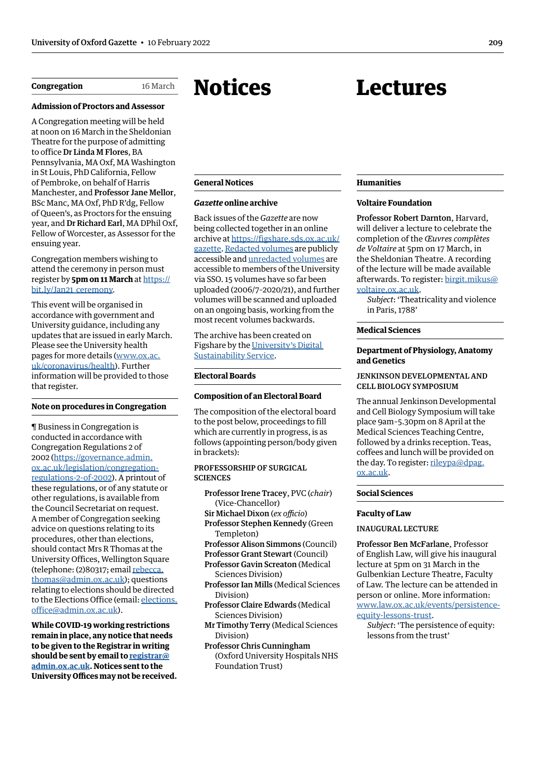<span id="page-2-0"></span>**Congregation** 16 March

#### **Admission of Proctors and Assessor**

A Congregation meeting will be held at noon on 16 March in the Sheldonian Theatre for the purpose of admitting to office Dr Linda M Flores, BA Pennsylvania, MA Oxf, MA Washington in St Louis, PhD California, Fellow of Pembroke, on behalf of Harris Manchester, and Professor Jane Mellor, BSc Manc, MA Oxf, PhD R'dg, Fellow of Queen's, as Proctors for the ensuing year, and Dr Richard Earl, MA DPhil Oxf, Fellow of Worcester, as Assessor for the ensuing year.

#### Congregation members wishing to attend the ceremony in person must register by **5pm on 11 March** at [https://](https://bit.ly/Jan21_ceremony) bit.ly/Jan21 ceremony.

This event will be organised in accordance with government and University guidance, including any updates that are issued in early March. Please see the University health pages for more details ([www.ox.ac.](www.ox.ac.uk/coronavirus/healthhttp://) [uk/coronavirus/health](www.ox.ac.uk/coronavirus/healthhttp://)). Further information will be provided to those that register.

#### **Note on procedures in Congregation**

¶ Business in Congregation is conducted in accordance with Congregation Regulations 2 of 2002 [\(https://governance.admin.](https://governance.admin.ox.ac.uk/legislation/congregation-regulations-2-of-2002) [ox.ac.uk/legislation/congregation](https://governance.admin.ox.ac.uk/legislation/congregation-regulations-2-of-2002)[regulations-2-of-2002\)](https://governance.admin.ox.ac.uk/legislation/congregation-regulations-2-of-2002). A printout of these regulations, or of any statute or other regulations, is available from the Council Secretariat on request. A member of Congregation seeking advice on questions relating to its procedures, other than elections, should contact Mrs R Thomas at the University Offices, Wellington Square (telephone: (2)80317; email [rebecca.](mailto:rebecca.thomas@admin.ox.ac.uk) [thomas@admin.ox.ac.uk\)](mailto:rebecca.thomas@admin.ox.ac.uk); questions relating to elections should be directed to the Elections Office (email: [elections.](mailto:elections.office@admin.ox.ac.uk) [office@admin.ox.ac.uk](mailto:elections.office@admin.ox.ac.uk)).

**While COVID-19 working restrictions remain in place, any notice that needs to be given to the Registrar in writing should be sent by email to [registrar@](mailto:registrar%40admin.ox.ac.uk?subject=) [admin.ox.ac.uk](mailto:registrar%40admin.ox.ac.uk?subject=). Notices sent to the University Offices may not be received.**

## Notices

#### **General Notices**

#### *Gazette* **online archive**

Back issues of the *Gazette* are now being collected together in an online archive at [https://figshare.sds.ox.ac.uk/](https://figshare.sds.ox.ac.uk/gazette) [gazette.](https://figshare.sds.ox.ac.uk/gazette) [Redacted volumes](https://figshare.sds.ox.ac.uk/projects/Redacted_Public_access_/129017) are publicly accessible and [unredacted volumes](https://figshare.sds.ox.ac.uk/projects/Full_Release_Oxford_SSO_users_only_/129020) are accessible to members of the University via SSO. 15 volumes have so far been uploaded (2006/7–2020/21), and further volumes will be scanned and uploaded on an ongoing basis, working from the most recent volumes backwards.

The archive has been created on Figshare by the [University's Digital](https://digital.humanities.ox.ac.uk/digital-sustainability-oxford)  [Sustainability Service](https://digital.humanities.ox.ac.uk/digital-sustainability-oxford).

#### **Electoral Boards**

#### **Composition of an Electoral Board**

The composition of the electoral board to the post below, proceedings to fill which are currently in progress, is as follows (appointing person/body given in brackets):

#### PROFESSORSHIP OF SURGICAL **SCIENCES**

- Professor Irene Tracey, PVC (*chair*) (Vice-Chancellor)
- Sir Michael Dixon (*ex officio*) Professor Stephen Kennedy (Green
- Templeton)
- Professor Alison Simmons (Council)
- Professor Grant Stewart (Council)
- Professor Gavin Screaton (Medical Sciences Division)
- Professor Ian Mills (Medical Sciences Division)
- Professor Claire Edwards (Medical Sciences Division)
- Mr Timothy Terry (Medical Sciences Division)
- Professor Chris Cunningham (Oxford University Hospitals NHS Foundation Trust)

#### **Humanities**

#### **Voltaire Foundation**

Lectures

Professor Robert Darnton, Harvard, will deliver a lecture to celebrate the completion of the *Œuvres complètes de Voltaire* at 5pm on 17 March, in the Sheldonian Theatre. A recording of the lecture will be made available afterwards. To register: [birgit.mikus@](mailto:birgit.mikus%40voltaire.ox.ac.uk?subject=) [voltaire.ox.ac.uk.](mailto:birgit.mikus%40voltaire.ox.ac.uk?subject=)

*Subject*: 'Theatricality and violence in Paris, 1788'

#### **Medical Sciences**

#### **Department of Physiology, Anatomy and Genetics**

#### JENKINSON DEVELOPMENTAL AND CELL BIOLOGY SYMPOSIUM

The annual Jenkinson Developmental and Cell Biology Symposium will take place 9am–5.30pm on 8 April at the Medical Sciences Teaching Centre, followed by a drinks reception. Teas, coffees and lunch will be provided on the day. To register: [rileypa@dpag.](mailto:rileypa%40dpag.ox.ac.uk?subject=) [ox.ac.uk](mailto:rileypa%40dpag.ox.ac.uk?subject=).

#### **Social Sciences**

#### **Faculty of Law**

#### INAUGURAL LECTURE

Professor Ben McFarlane, Professor of English Law, will give his inaugural lecture at 5pm on 31 March in the Gulbenkian Lecture Theatre, Faculty of Law. The lecture can be attended in person or online. More information: [www.law.ox.ac.uk/events/persistence](http://www.law.ox.ac.uk/events/persistence-equity-lessons-trust)[equity-lessons-trust](http://www.law.ox.ac.uk/events/persistence-equity-lessons-trust).

*Subject*: 'The persistence of equity: lessons from the trust'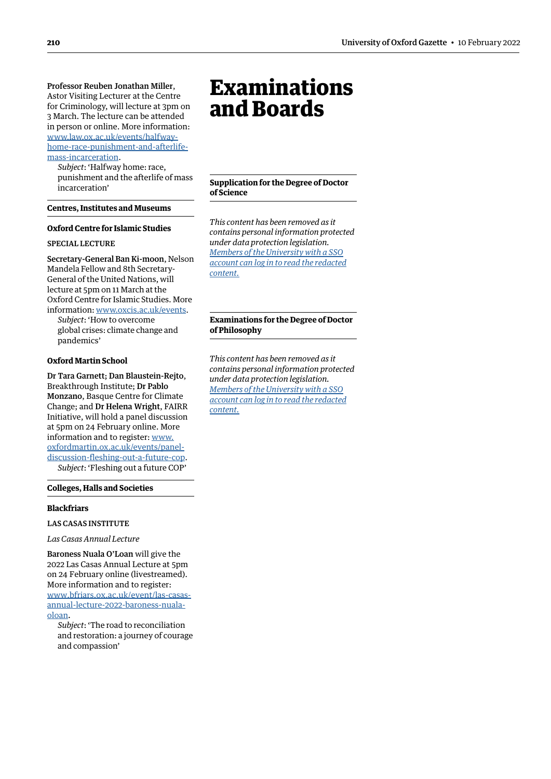<span id="page-3-0"></span>Professor Reuben Jonathan Miller, Astor Visiting Lecturer at the Centre for Criminology, will lecture at 3pm on 3 March. The lecture can be attended in person or online. More information: [www.law.ox.ac.uk/events/halfway](http://www.law.ox.ac.uk/events/halfway-home-race-punishment-and-afterlife-mass-incarceration)[home-race-punishment-and-afterlife](http://www.law.ox.ac.uk/events/halfway-home-race-punishment-and-afterlife-mass-incarceration)[mass-incarceration](http://www.law.ox.ac.uk/events/halfway-home-race-punishment-and-afterlife-mass-incarceration).

*Subject*: 'Halfway home: race, punishment and the afterlife of mass incarceration'

**Centres, Institutes and Museums**

#### **Oxford Centre for Islamic Studies**

#### SPECIAL LECTURE

Secretary-General Ban Ki-moon, Nelson Mandela Fellow and 8th Secretary-General of the United Nations, will lecture at 5pm on 11 March at the Oxford Centre for Islamic Studies. More information: [www.oxcis.ac.uk/events](https://www.oxcis.ac.uk/events).

*Subject*: 'How to overcome global crises: climate change and pandemics'

#### **Oxford Martin School**

Dr Tara Garnett; Dan Blaustein-Rejto, Breakthrough Institute; Dr Pablo Monzano, Basque Centre for Climate Change; and Dr Helena Wright, FAIRR Initiative, will hold a panel discussion at 5pm on 24 February online. More information and to register: [www.](https://www.oxfordmartin.ox.ac.uk/events/panel-discussion-fleshing-out-a-future-cop/) [oxfordmartin.ox.ac.uk/events/panel](https://www.oxfordmartin.ox.ac.uk/events/panel-discussion-fleshing-out-a-future-cop/)[discussion-fleshing-out-a-future-cop](https://www.oxfordmartin.ox.ac.uk/events/panel-discussion-fleshing-out-a-future-cop/). *Subject*: 'Fleshing out a future COP'

#### **Colleges, Halls and Societies**

#### **Blackfriars**

LAS CASAS INSTITUTE

*Las Casas Annual Lecture* 

Baroness Nuala O'Loan will give the 2022 Las Casas Annual Lecture at 5pm on 24 February online (livestreamed). More information and to register: [www.bfriars.ox.ac.uk/event/las-casas](https://www.bfriars.ox.ac.uk/event/las-casas-annual-lecture-2022-baroness-nuala-oloan)[annual-lecture-2022-baroness-nuala](https://www.bfriars.ox.ac.uk/event/las-casas-annual-lecture-2022-baroness-nuala-oloan)[oloan](https://www.bfriars.ox.ac.uk/event/las-casas-annual-lecture-2022-baroness-nuala-oloan).

*Subject*: 'The road to reconciliation and restoration: a journey of courage and compassion'

## Examinations and Boards

**Supplication for the Degree of Doctor of Science**

*This content has been removed as it contains personal information protected under data protection legislation. Members of the University with a SSO [account can log in to read the redacted](https://unioxfordnexus.sharepoint.com/sites/PublicAffairsDirectorate-Gazette/Online%20Gazette%20Issues/Gazette%202021-22/10%20February%202022%20-%20No%205338.pdf#page=4)  content.*

#### **Examinations for the Degree of Doctor of Philosophy**

*This content has been removed as it contains personal information protected under data protection legislation. Members of the University with a SSO [account can log in to read the redacted](https://unioxfordnexus.sharepoint.com/sites/PublicAffairsDirectorate-Gazette/Online%20Gazette%20Issues/Gazette%202021-22/10%20February%202022%20-%20No%205338.pdf#page=4)  content.*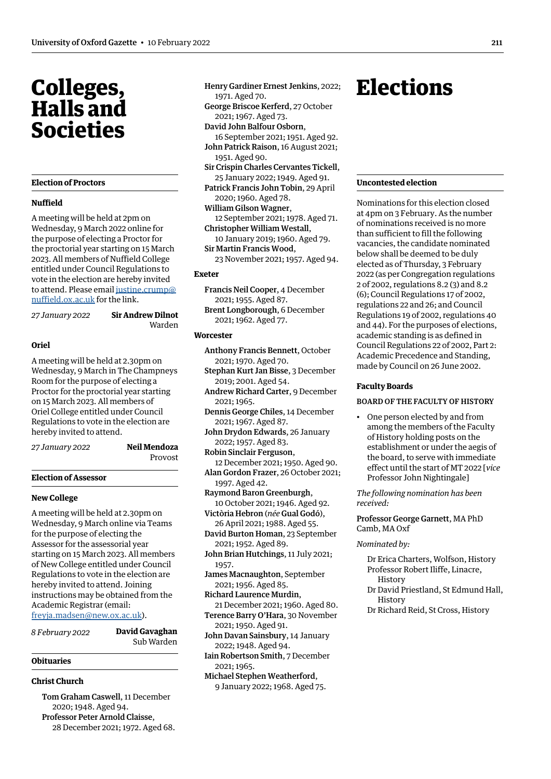## <span id="page-4-0"></span>Colleges, Halls and Societies

#### **Election of Proctors**

#### **Nuffield**

A meeting will be held at 2pm on Wednesday, 9 March 2022 online for the purpose of electing a Proctor for the proctorial year starting on 15 March 2023. All members of Nuffield College entitled under Council Regulations to vote in the election are hereby invited to attend. Please email [justine.crump@](mailto:justine.crump@nuffield.ox.ac.uk) [nuffield.ox.ac.uk](mailto:justine.crump@nuffield.ox.ac.uk) for the link.

*27 January 2022* **Sir Andrew Dilnot**

Warden

#### **Oriel**

A meeting will be held at 2.30pm on Wednesday, 9 March in The Champneys Room for the purpose of electing a Proctor for the proctorial year starting on 15 March 2023. All members of Oriel College entitled under Council Regulations to vote in the election are hereby invited to attend.

*27 January 2022* **Neil Mendoza**

Provost

#### **Election of Assessor**

#### **New College**

A meeting will be held at 2.30pm on Wednesday, 9 March online via Teams for the purpose of electing the Assessor for the assessorial year starting on 15 March 2023. All members of New College entitled under Council Regulations to vote in the election are hereby invited to attend. Joining instructions may be obtained from the Academic Registrar (email: [freyja.madsen@new.ox.ac.uk](mailto:freyja.madsen@new.ox.ac.uk)).

*8 February 2022* **David Gavaghan** Sub Warden

#### **Obituaries**

#### **Christ Church**

Tom Graham Caswell, 11 December 2020; 1948. Aged 94. Professor Peter Arnold Claisse, 28 December 2021; 1972. Aged 68.

- Henry Gardiner Ernest Jenkins, 2022; 1971. Aged 70.
- George Briscoe Kerferd, 27 October 2021; 1967. Aged 73.
- David John Balfour Osborn, 16 September 2021; 1951. Aged 92.
- John Patrick Raison, 16 August 2021; 1951. Aged 90.
- Sir Crispin Charles Cervantes Tickell, 25 January 2022; 1949. Aged 91.
- Patrick Francis John Tobin, 29 April 2020; 1960. Aged 78.
- William Gilson Wagner,
- 12 September 2021; 1978. Aged 71. Christopher William Westall, 10 January 2019; 1960. Aged 79.
- Sir Martin Francis Wood,
- 23 November 2021; 1957. Aged 94.

#### **Exeter**

- Francis Neil Cooper, 4 December 2021; 1955. Aged 87.
- Brent Longborough, 6 December 2021; 1962. Aged 77.

#### **Worcester**

- Anthony Francis Bennett, October 2021; 1970. Aged 70.
- Stephan Kurt Jan Bisse, 3 December 2019; 2001. Aged 54.
- Andrew Richard Carter, 9 December 2021; 1965.
- Dennis George Chiles, 14 December 2021; 1967. Aged 87.
- John Drydon Edwards, 26 January 2022; 1957. Aged 83.
- Robin Sinclair Ferguson, 12 December 2021; 1950. Aged 90.
- Alan Gordon Frazer, 26 October 2021; 1997. Aged 42.
- Raymond Baron Greenburgh, 10 October 2021; 1946. Aged 92.
- Victòria Hebron (*née* Gual Godó), 26 April 2021; 1988. Aged 55.
- David Burton Homan, 23 September 2021; 1952. Aged 89.
- John Brian Hutchings, 11 July 2021; 1957.
- James Macnaughton, September 2021; 1956. Aged 85.
- Richard Laurence Murdin, 21 December 2021; 1960. Aged 80.
- Terence Barry O'Hara, 30 November 2021; 1950. Aged 91.
- John Davan Sainsbury, 14 January 2022; 1948. Aged 94.
- Iain Robertson Smith, 7 December  $2021 \cdot 1965$
- Michael Stephen Weatherford, 9 January 2022; 1968. Aged 75.

## <span id="page-4-1"></span>**Elections**

#### **Uncontested election**

Nominations for this election closed at 4pm on 3 February. As the number of nominations received is no more than sufficient to fill the following vacancies, the candidate nominated below shall be deemed to be duly elected as of Thursday, 3 February 2022 (as per Congregation regulations 2 of 2002, regulations 8.2 (3) and 8.2 (6); Council Regulations 17 of 2002, regulations 22 and 26; and Council Regulations 19 of 2002, regulations 40 and 44). For the purposes of elections, academic standing is as defined in Council Regulations 22 of 2002, Part 2: Academic Precedence and Standing, made by Council on 26 June 2002.

#### **Faculty Boards**

#### BOARD OF THE FACULTY OF HISTORY

• One person elected by and from among the members of the Faculty of History holding posts on the establishment or under the aegis of the board, to serve with immediate effect until the start of MT 2022 [*vice* Professor John Nightingale]

*The following nomination has been received:* 

Professor George Garnett, MA PhD Camb, MA Oxf

#### *Nominated by:*

- Dr Erica Charters, Wolfson, History Professor Robert Iliffe, Linacre, History
- Dr David Priestland, St Edmund Hall, **History**
- Dr Richard Reid, St Cross, History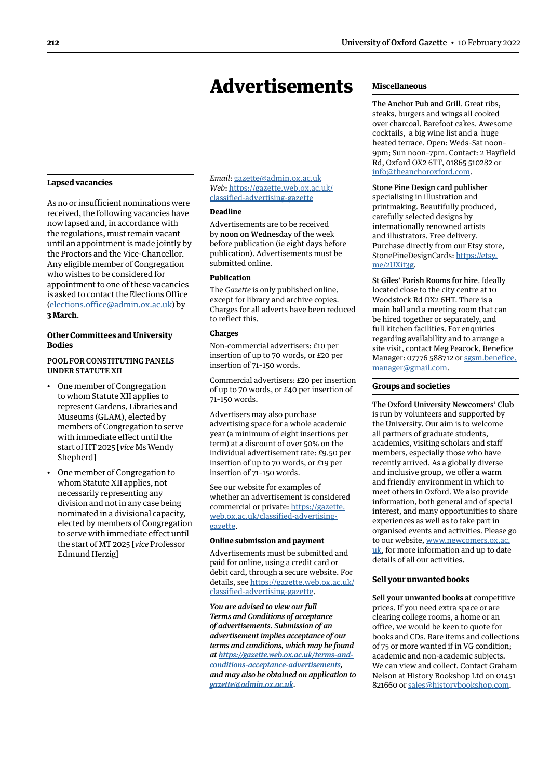#### <span id="page-5-0"></span>**Lapsed vacancies**

As no or insufficient nominations were received, the following vacancies have now lapsed and, in accordance with the regulations, must remain vacant until an appointment is made jointly by the Proctors and the Vice-Chancellor. Any eligible member of Congregation who wishes to be considered for appointment to one of these vacancies is asked to contact the Elections Office [\(elections.office@admin.ox.ac.uk\)](mailto:elections.office%40admin.ox.ac.uk?subject=) by **3 March**.

#### **Other Committees and University Bodies**

#### POOL FOR CONSTITUTING PANELS UNDER STATUTE XII

- One member of Congregation to whom Statute XII applies to represent Gardens, Libraries and Museums (GLAM), elected by members of Congregation to serve with immediate effect until the start of HT 2025 [*vice* Ms Wendy Shepherd]
- One member of Congregation to whom Statute XII applies, not necessarily representing any division and not in any case being nominated in a divisional capacity, elected by members of Congregation to serve with immediate effect until the start of MT 2025 [*vice* Professor Edmund Herzig]

*Email*: [gazette@admin.ox.ac.uk](mailto:gazette@admin.ox.ac.uk) *Web*: https:/[/gazette.web.ox.ac.uk/](https://gazette.web.ox.ac.uk/classified-advertising-gazette) [classified-advertising-](https://gazette.web.ox.ac.uk/classified-advertising-gazette)gazette

#### **Deadline**

Advertisements are to be received by noon on Wednesday of the week before publication (ie eight days before publication). Advertisements must be submitted online.

#### **Publication**

The *Gazette* is only published online, except for library and archive copies. Charges for all adverts have been reduced to reflect this.

#### **Charges**

Non-commercial advertisers: £10 per insertion of up to 70 words, or £20 per insertion of 71–150 words.

Commercial advertisers: £20 per insertion of up to 70 words, or £40 per insertion of 71–150 words.

Advertisers may also purchase advertising space for a whole academic year (a minimum of eight insertions per term) at a discount of over 50% on the individual advertisement rate: £9.50 per insertion of up to 70 words, or £19 per insertion of 71–150 words.

See our website for examples of whether an advertisement is considered commercial or private: https://[gazette.](https://gazette.web.ox.ac.uk/classified-advertising-gazette) [web.ox.ac.uk/classified-advertising](https://gazette.web.ox.ac.uk/classified-advertising-gazette)gazette.

#### **Online submission and payment**

Advertisements must be submitted and paid for online, using a credit card or debit card, through a secure website. For details, see https:/[/gazette.web.ox.ac.uk/](https://gazette.web.ox.ac.uk/classified-advertising-gazette) [classified-advertising-](https://gazette.web.ox.ac.uk/classified-advertising-gazette)gazette.

*You are advised to view our full Terms and Conditions of acceptance of advertisements. Submission of an advertisement implies acceptance of our terms and conditions, which may be found at [https://gazette.web.ox.ac.uk/terms-and](https://gazette.web.ox.ac.uk/terms-and-conditions-acceptance-advertisements)[conditions-acceptance-advertisements](https://gazette.web.ox.ac.uk/terms-and-conditions-acceptance-advertisements), and may also be obtained on application to [gazette@admin.ox.ac.uk](mailto:gazette@admin.ox.ac.uk).*

#### **Miscellaneous**

The Anchor Pub and Grill. Great ribs, steaks, burgers and wings all cooked over charcoal. Barefoot cakes. Awesome cocktails, a big wine list and a huge heated terrace. Open: Weds–Sat noon– 9pm; Sun noon–7pm. Contact: 2 Hayfield Rd, Oxford OX2 6TT, 01865 510282 or [info@theanchoroxford.com.](mailto:info@theanchoroxford.com)

#### Stone Pine Design card publisher

specialising in illustration and printmaking. Beautifully produced, carefully selected designs by internationally renowned artists and illustrators. Free delivery. Purchase directly from our Etsy store, StonePineDesignCards: [https://etsy.](https://etsy.me/2UXit3g) [me/2UXit3g](https://etsy.me/2UXit3g).

St Giles' Parish Rooms for hire. Ideally located close to the city centre at 10 Woodstock Rd OX2 6HT. There is a main hall and a meeting room that can be hired together or separately, and full kitchen facilities. For enquiries regarding availability and to arrange a site visit, contact Meg Peacock, Benefice Manager: 07776 588712 or [sgsm.benefice.](mailto:sgsm.benefice.manager@gmail.com) [manager@gmail.com](mailto:sgsm.benefice.manager@gmail.com).

#### **Groups and societies**

The Oxford University Newcomers' Club is run by volunteers and supported by the University. Our aim is to welcome all partners of graduate students, academics, visiting scholars and staff members, especially those who have recently arrived. As a globally diverse and inclusive group, we offer a warm and friendly environment in which to meet others in Oxford. We also provide information, both general and of special interest, and many opportunities to share experiences as well as to take part in organised events and activities. Please go to our website, [www.newcomers.ox.ac.](http://www.newcomers.ox.ac.uk) [uk](http://www.newcomers.ox.ac.uk), for more information and up to date details of all our activities.

#### **Sell your unwanted books**

Sell your unwanted books at competitive prices. If you need extra space or are clearing college rooms, a home or an office, we would be keen to quote for books and CDs. Rare items and collections of 75 or more wanted if in VG condition; academic and non-academic subjects. We can view and collect. Contact Graham Nelson at History Bookshop Ltd on 01451 821660 or [sales@historybookshop.com](mailto:sales@historybookshop.com).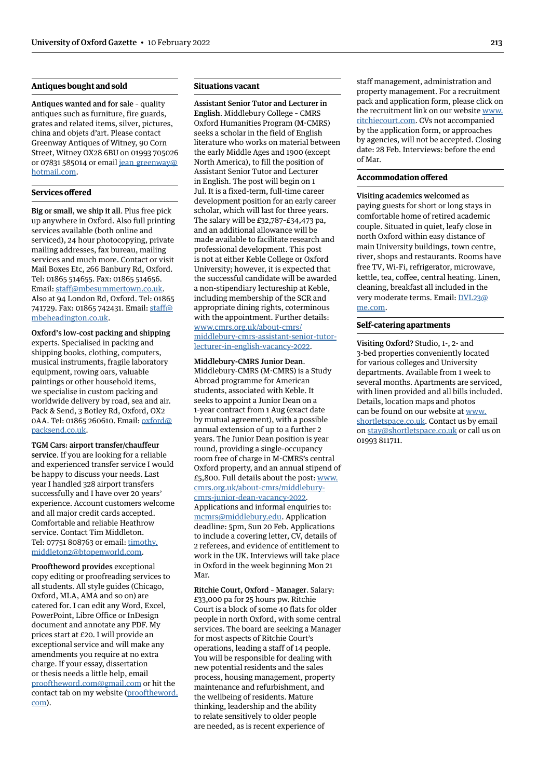#### **Antiques bought and sold**

Antiques wanted and for sale – quality antiques such as furniture, fire guards, grates and related items, silver, pictures, china and objets d'art. Please contact Greenway Antiques of Witney, 90 Corn Street, Witney OX28 6BU on 01993 705026 or 07831 585014 or email jean greenway@ [hotmail.com](mailto:jean_greenway@hotmail.com).

#### **Services offered**

Big or small, we ship it all. Plus free pick up anywhere in Oxford. Also full printing services available (both online and serviced), 24 hour photocopying, private mailing addresses, fax bureau, mailing services and much more. Contact or visit Mail Boxes Etc, 266 Banbury Rd, Oxford. Tel: 01865 514655. Fax: 01865 514656. Email: [staff@mbesummertown.co.uk](mailto:staff@mbesummertown.co.uk). Also at 94 London Rd, Oxford. Tel: 01865 741729. Fax: 01865 742431. Email: [staff@](mailto:staff@mbeheadington.co.uk) [mbeheadington.co.uk.](mailto:staff@mbeheadington.co.uk)

Oxford's low-cost packing and shipping experts. Specialised in packing and shipping books, clothing, computers, musical instruments, fragile laboratory equipment, rowing oars, valuable paintings or other household items, we specialise in custom packing and worldwide delivery by road, sea and air. Pack & Send, 3 Botley Rd, Oxford, OX2 0AA. Tel: 01865 260610. Email: [oxford@](mailto:oxford@packsend.co.uk) [packsend.co.uk.](mailto:oxford@packsend.co.uk)

TGM Cars: airport transfer/chauffeur service. If you are looking for a reliable and experienced transfer service I would be happy to discuss your needs. Last year I handled 328 airport transfers successfully and I have over 20 years' experience. Account customers welcome and all major credit cards accepted. Comfortable and reliable Heathrow service. Contact Tim Middleton. Tel: 07751 808763 or email: [timothy.](mailto:timothy.middleton2@btopenworld.com) [middleton2@btopenworld.com.](mailto:timothy.middleton2@btopenworld.com)

Prooftheword provides exceptional copy editing or proofreading services to all students. All style guides (Chicago, Oxford, MLA, AMA and so on) are catered for. I can edit any Word, Excel, PowerPoint, Libre Office or InDesign document and annotate any PDF. My prices start at £20. I will provide an exceptional service and will make any amendments you require at no extra charge. If your essay, dissertation or thesis needs a little help, email [prooftheword.com@gmail.com](mailto:prooftheword.com@gmail.com) or hit the contact tab on my website [\(prooftheword.](http://prooftheword.com) [com](http://prooftheword.com)).

#### **Situations vacant**

Assistant Senior Tutor and Lecturer in English. Middlebury College – CMRS Oxford Humanities Program (M-CMRS) seeks a scholar in the field of English literature who works on material between the early Middle Ages and 1900 (except North America), to fill the position of Assistant Senior Tutor and Lecturer in English. The post will begin on 1 Jul. It is a fixed-term, full-time career development position for an early career scholar, which will last for three years. The salary will be  $£32,787-E34,473$  pa, and an additional allowance will be made available to facilitate research and professional development. This post is not at either Keble College or Oxford University; however, it is expected that the successful candidate will be awarded a non-stipendiary lectureship at Keble, including membership of the SCR and appropriate dining rights, coterminous with the appointment. Further details: [www.cmrs.org.uk/about-cmrs/](http://www.cmrs.org.uk/about-cmrs/middlebury-cmrs-assistant-senior-tutor-lecturer-in-english-vacancy-2022) [middlebury-cmrs-assistant-senior-tutor](http://www.cmrs.org.uk/about-cmrs/middlebury-cmrs-assistant-senior-tutor-lecturer-in-english-vacancy-2022)[lecturer-in-english-vacancy-2022.](http://www.cmrs.org.uk/about-cmrs/middlebury-cmrs-assistant-senior-tutor-lecturer-in-english-vacancy-2022)

Middlebury-CMRS Junior Dean. Middlebury-CMRS (M-CMRS) is a Study Abroad programme for American students, associated with Keble. It seeks to appoint a Junior Dean on a 1-year contract from 1 Aug (exact date by mutual agreement), with a possible annual extension of up to a further 2 years. The Junior Dean position is year round, providing a single-occupancy room free of charge in M-CMRS's central Oxford property, and an annual stipend of £5,800. Full details about the post: [www.](http://www.cmrs.org.uk/about-cmrs/middlebury-cmrs-junior-dean-vacancy-2022) [cmrs.org.uk/about-cmrs/middlebury](http://www.cmrs.org.uk/about-cmrs/middlebury-cmrs-junior-dean-vacancy-2022)[cmrs-junior-dean-vacancy-2022](http://www.cmrs.org.uk/about-cmrs/middlebury-cmrs-junior-dean-vacancy-2022). Applications and informal enquiries to: [mcmrs@middlebury.edu](mailto:mcmrs@middlebury.edu). Application deadline: 5pm, Sun 20 Feb. Applications to include a covering letter, CV, details of 2 referees, and evidence of entitlement to work in the UK. Interviews will take place in Oxford in the week beginning Mon 21 Mar.

Ritchie Court, Oxford – Manager. Salary: £33,000 pa for 25 hours pw. Ritchie Court is a block of some 40 flats for older people in north Oxford, with some central services. The board are seeking a Manager for most aspects of Ritchie Court's operations, leading a staff of 14 people. You will be responsible for dealing with new potential residents and the sales process, housing management, property maintenance and refurbishment, and the wellbeing of residents. Mature thinking, leadership and the ability to relate sensitively to older people are needed, as is recent experience of

staff management, administration and property management. For a recruitment pack and application form, please click on the recruitment link on our website [www.](http://www.ritchiecourt.com) [ritchiecourt.com.](http://www.ritchiecourt.com) CVs not accompanied by the application form, or approaches by agencies, will not be accepted. Closing date: 28 Feb. Interviews: before the end of Mar.

#### **Accommodation offered**

Visiting academics welcomed as paying guests for short or long stays in comfortable home of retired academic couple. Situated in quiet, leafy close in north Oxford within easy distance of main University buildings, town centre, river, shops and restaurants. Rooms have free TV, Wi-Fi, refrigerator, microwave, kettle, tea, coffee, central heating. Linen, cleaning, breakfast all included in the very moderate terms. Email: [DVL23@](mailto:DVL23@me.com) [me.com](mailto:DVL23@me.com).

#### **Self-catering apartments**

Visiting Oxford? Studio, 1-, 2- and 3-bed properties conveniently located for various colleges and University departments. Available from 1 week to several months. Apartments are serviced, with linen provided and all bills included. Details, location maps and photos can be found on our website at [www.](http://www.shortletspace.co.uk) [shortletspace.co.uk](http://www.shortletspace.co.uk). Contact us by email on [stay@shortletspace.co.uk](mailto:stay@shortletspace.co.uk) or call us on 01993 811711.